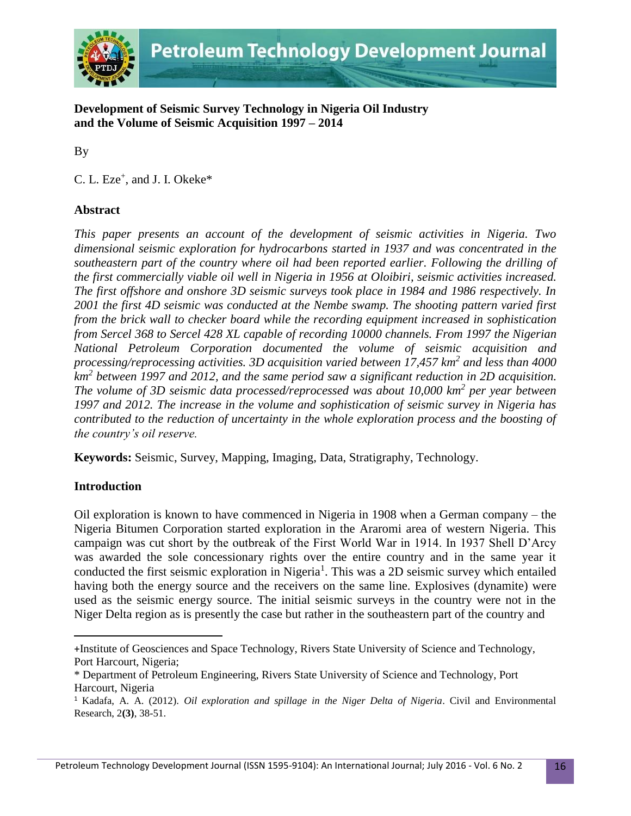

**Development of Seismic Survey Technology in Nigeria Oil Industry and the Volume of Seismic Acquisition 1997 – 2014**

By

C. L. Eze<sup>+</sup>, and J. I. Okeke<sup>\*</sup>

# **Abstract**

*This paper presents an account of the development of seismic activities in Nigeria. Two dimensional seismic exploration for hydrocarbons started in 1937 and was concentrated in the southeastern part of the country where oil had been reported earlier. Following the drilling of the first commercially viable oil well in Nigeria in 1956 at Oloibiri, seismic activities increased. The first offshore and onshore 3D seismic surveys took place in 1984 and 1986 respectively. In 2001 the first 4D seismic was conducted at the Nembe swamp. The shooting pattern varied first from the brick wall to checker board while the recording equipment increased in sophistication from Sercel 368 to Sercel 428 XL capable of recording 10000 channels. From 1997 the Nigerian National Petroleum Corporation documented the volume of seismic acquisition and processing/reprocessing activities. 3D acquisition varied between 17,457 km<sup>2</sup> and less than 4000 km<sup>2</sup> between 1997 and 2012, and the same period saw a significant reduction in 2D acquisition. The volume of 3D seismic data processed/reprocessed was about 10,000 km<sup>2</sup> per year between 1997 and 2012. The increase in the volume and sophistication of seismic survey in Nigeria has contributed to the reduction of uncertainty in the whole exploration process and the boosting of the country's oil reserve.*

**Keywords:** Seismic, Survey, Mapping, Imaging, Data, Stratigraphy, Technology.

# **Introduction**

 $\overline{\phantom{a}}$ 

Oil exploration is known to have commenced in Nigeria in 1908 when a German company – the Nigeria Bitumen Corporation started exploration in the Araromi area of western Nigeria. This campaign was cut short by the outbreak of the First World War in 1914. In 1937 Shell D'Arcy was awarded the sole concessionary rights over the entire country and in the same year it conducted the first seismic exploration in Nigeria<sup>1</sup>. This was a 2D seismic survey which entailed having both the energy source and the receivers on the same line. Explosives (dynamite) were used as the seismic energy source. The initial seismic surveys in the country were not in the Niger Delta region as is presently the case but rather in the southeastern part of the country and

<sup>+</sup>Institute of Geosciences and Space Technology, Rivers State University of Science and Technology, Port Harcourt, Nigeria;

<sup>\*</sup> Department of Petroleum Engineering, Rivers State University of Science and Technology, Port Harcourt, Nigeria

<sup>1</sup> Kadafa, A. A. (2012). *Oil exploration and spillage in the Niger Delta of Nigeria*. Civil and Environmental Research, 2**(3)**, 38-51.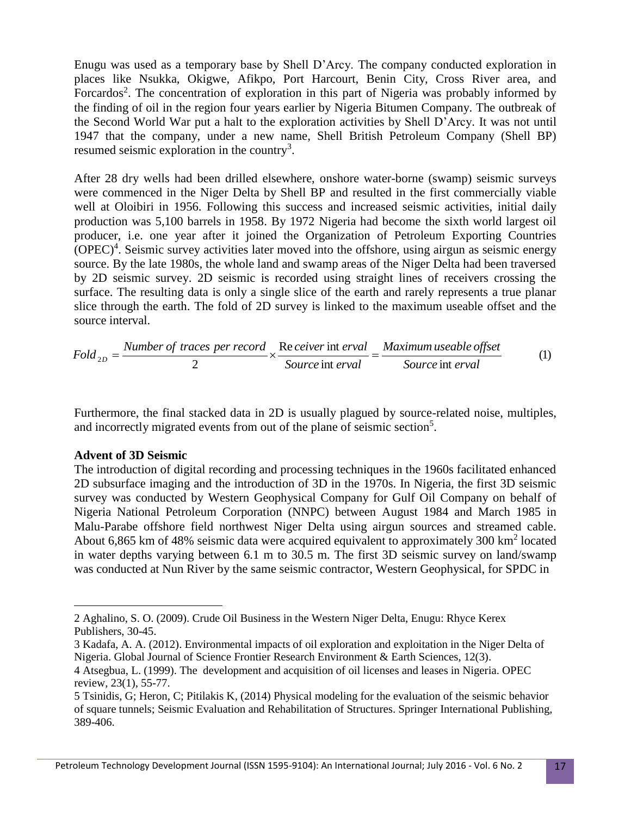Enugu was used as a temporary base by Shell D'Arcy. The company conducted exploration in places like Nsukka, Okigwe, Afikpo, Port Harcourt, Benin City, Cross River area, and Forcardos<sup>2</sup>. The concentration of exploration in this part of Nigeria was probably informed by the finding of oil in the region four years earlier by Nigeria Bitumen Company. The outbreak of the Second World War put a halt to the exploration activities by Shell D'Arcy. It was not until 1947 that the company, under a new name, Shell British Petroleum Company (Shell BP) resumed seismic exploration in the country<sup>3</sup>.

After 28 dry wells had been drilled elsewhere, onshore water-borne (swamp) seismic surveys were commenced in the Niger Delta by Shell BP and resulted in the first commercially viable well at Oloibiri in 1956. Following this success and increased seismic activities, initial daily production was 5,100 barrels in 1958. By 1972 Nigeria had become the sixth world largest oil producer, i.e. one year after it joined the Organization of Petroleum Exporting Countries (OPEC)<sup>4</sup>. Seismic survey activities later moved into the offshore, using airgun as seismic energy source. By the late 1980s, the whole land and swamp areas of the Niger Delta had been traversed by 2D seismic survey. 2D seismic is recorded using straight lines of receivers crossing the surface. The resulting data is only a single slice of the earth and rarely represents a true planar slice through the earth. The fold of 2D survey is linked to the maximum useable offset and the source interval.

$$
Fold_{2D} = \frac{Number\ of\ traces\ per\ record}{2} \times \frac{Re\ cever\ int\erval}{Source\ int\erval} = \frac{Maximum\ useable\ offset}{Source\ int\ eval} \tag{1}
$$

Furthermore, the final stacked data in 2D is usually plagued by source-related noise, multiples, and incorrectly migrated events from out of the plane of seismic section<sup>5</sup>.

### **Advent of 3D Seismic**

 $\overline{\phantom{a}}$ 

The introduction of digital recording and processing techniques in the 1960s facilitated enhanced 2D subsurface imaging and the introduction of 3D in the 1970s. In Nigeria, the first 3D seismic survey was conducted by Western Geophysical Company for Gulf Oil Company on behalf of Nigeria National Petroleum Corporation (NNPC) between August 1984 and March 1985 in Malu-Parabe offshore field northwest Niger Delta using airgun sources and streamed cable. About 6,865 km of 48% seismic data were acquired equivalent to approximately 300  $km<sup>2</sup>$  located in water depths varying between 6.1 m to 30.5 m. The first 3D seismic survey on land/swamp was conducted at Nun River by the same seismic contractor, Western Geophysical, for SPDC in

<sup>2</sup> Aghalino, S. O. (2009). Crude Oil Business in the Western Niger Delta, Enugu: Rhyce Kerex Publishers, 30-45.

<sup>3</sup> Kadafa, A. A. (2012). Environmental impacts of oil exploration and exploitation in the Niger Delta of Nigeria. Global Journal of Science Frontier Research Environment & Earth Sciences, 12(3).

<sup>4</sup> Atsegbua, L. (1999). The development and acquisition of oil licenses and leases in Nigeria. OPEC review, 23(1), 55-77.

<sup>5</sup> Tsinidis, G; Heron, C; Pitilakis K, (2014) Physical modeling for the evaluation of the seismic behavior of square tunnels; Seismic Evaluation and Rehabilitation of Structures. Springer International Publishing, 389-406.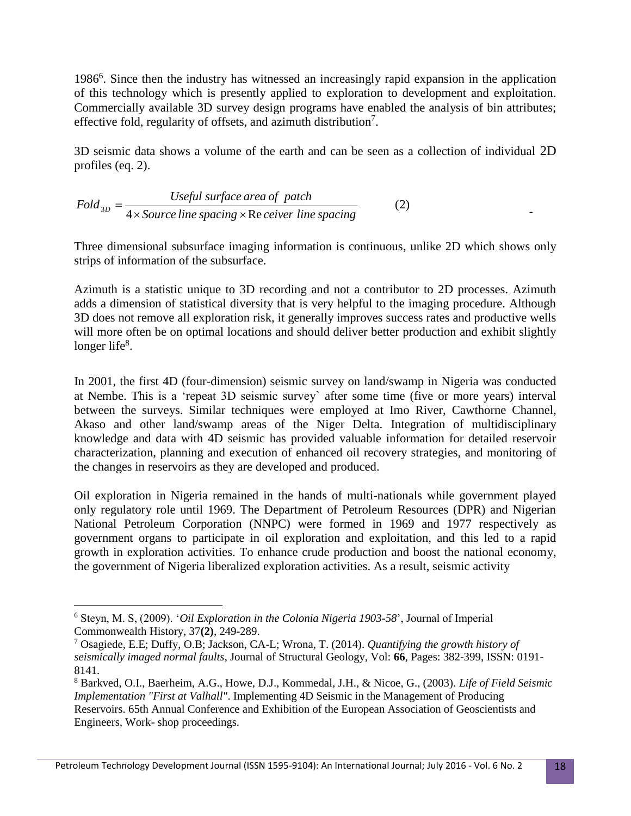1986<sup>6</sup>. Since then the industry has witnessed an increasingly rapid expansion in the application of this technology which is presently applied to exploration to development and exploitation. Commercially available 3D survey design programs have enabled the analysis of bin attributes; effective fold, regularity of offsets, and azimuth distribution<sup>7</sup>.

3D seismic data shows a volume of the earth and can be seen as a collection of individual 2D profiles (eq. 2).

$$
Fold_{3D} = \frac{Useful\ surface\ area\ of\ patch}{4 \times Source\ line\ spacing \times Re\ cever\ line\ spacing}
$$
 (2)

Three dimensional subsurface imaging information is continuous, unlike 2D which shows only strips of information of the subsurface.

Azimuth is a statistic unique to 3D recording and not a contributor to 2D processes. Azimuth adds a dimension of statistical diversity that is very helpful to the imaging procedure. Although 3D does not remove all exploration risk, it generally improves success rates and productive wells will more often be on optimal locations and should deliver better production and exhibit slightly longer life<sup>8</sup>.

In 2001, the first 4D (four-dimension) seismic survey on land/swamp in Nigeria was conducted at Nembe. This is a 'repeat 3D seismic survey` after some time (five or more years) interval between the surveys. Similar techniques were employed at Imo River, Cawthorne Channel, Akaso and other land/swamp areas of the Niger Delta. Integration of multidisciplinary knowledge and data with 4D seismic has provided valuable information for detailed reservoir characterization, planning and execution of enhanced oil recovery strategies, and monitoring of the changes in reservoirs as they are developed and produced.

Oil exploration in Nigeria remained in the hands of multi-nationals while government played only regulatory role until 1969. The Department of Petroleum Resources (DPR) and Nigerian National Petroleum Corporation (NNPC) were formed in 1969 and 1977 respectively as government organs to participate in oil exploration and exploitation, and this led to a rapid growth in exploration activities. To enhance crude production and boost the national economy, the government of Nigeria liberalized exploration activities. As a result, seismic activity

 $\overline{\phantom{a}}$ 

<sup>6</sup> Steyn, M. S, (2009). '*Oil Exploration in the Colonia Nigeria 1903-58*', Journal of Imperial Commonwealth History, 37**(2)**, 249-289.

<sup>7</sup> Osagiede, E.E; Duffy, O.B; Jackson, CA-L; Wrona, T. (2014). *Quantifying the growth history of seismically imaged normal faults*, Journal of Structural Geology, Vol: **66**, Pages: 382-399, ISSN: 0191- 8141.

<sup>8</sup> Barkved, O.I., Baerheim, A.G., Howe, D.J., Kommedal, J.H., & Nicoe, G., (2003). *Life of Field Seismic Implementation "First at Valhall"*. Implementing 4D Seismic in the Management of Producing Reservoirs. 65th Annual Conference and Exhibition of the European Association of Geoscientists and Engineers, Work- shop proceedings.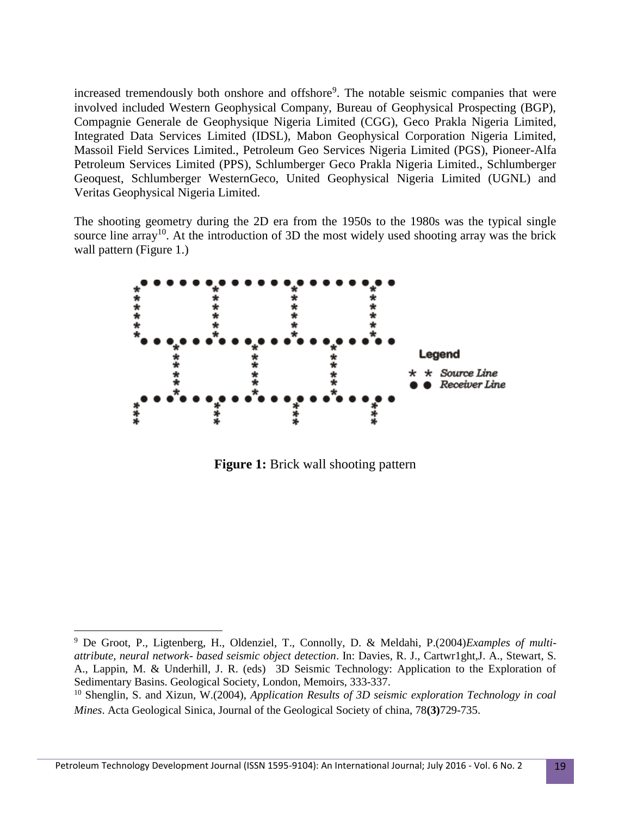increased tremendously both onshore and offshore<sup>9</sup>. The notable seismic companies that were involved included Western Geophysical Company, Bureau of Geophysical Prospecting (BGP), Compagnie Generale de Geophysique Nigeria Limited (CGG), Geco Prakla Nigeria Limited, Integrated Data Services Limited (IDSL), Mabon Geophysical Corporation Nigeria Limited, Massoil Field Services Limited., Petroleum Geo Services Nigeria Limited (PGS), Pioneer-Alfa Petroleum Services Limited (PPS), Schlumberger Geco Prakla Nigeria Limited., Schlumberger Geoquest, Schlumberger WesternGeco, United Geophysical Nigeria Limited (UGNL) and Veritas Geophysical Nigeria Limited.

The shooting geometry during the 2D era from the 1950s to the 1980s was the typical single source line array<sup>10</sup>. At the introduction of 3D the most widely used shooting array was the brick wall pattern (Figure 1.)



**Figure 1:** Brick wall shooting pattern

l

<sup>9</sup> De Groot, P., Ligtenberg, H., Oldenziel, T., Connolly, D. & Meldahi, P.(2004)*Examples of multiattribute, neural network- based seismic object detection*. In: Davies, R. J., Cartwr1ght,J. A., Stewart, S. A., Lappin, M. & Underhill, J. R. (eds) 3D Seismic Technology: Application to the Exploration of Sedimentary Basins. Geological Society, London, Memoirs, 333-337.

<sup>10</sup> Shenglin, S. and Xizun, W.(2004), *Application Results of 3D seismic exploration Technology in coal Mines*. Acta Geological Sinica, Journal of the Geological Society of china, 78**(3)**729-735.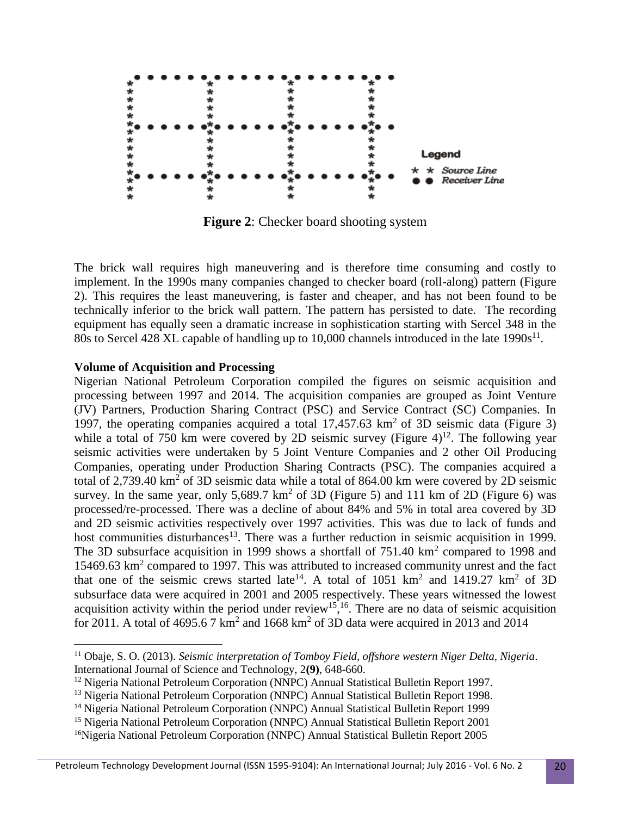

**Figure 2**: Checker board shooting system

The brick wall requires high maneuvering and is therefore time consuming and costly to implement. In the 1990s many companies changed to checker board (roll-along) pattern (Figure 2). This requires the least maneuvering, is faster and cheaper, and has not been found to be technically inferior to the brick wall pattern. The pattern has persisted to date. The recording equipment has equally seen a dramatic increase in sophistication starting with Sercel 348 in the 80s to Sercel 428 XL capable of handling up to 10,000 channels introduced in the late  $1990s^{11}$ .

#### **Volume of Acquisition and Processing**

 $\overline{a}$ 

Nigerian National Petroleum Corporation compiled the figures on seismic acquisition and processing between 1997 and 2014. The acquisition companies are grouped as Joint Venture (JV) Partners, Production Sharing Contract (PSC) and Service Contract (SC) Companies. In 1997, the operating companies acquired a total  $17,457.63 \text{ km}^2$  of 3D seismic data (Figure 3) while a total of 750 km were covered by 2D seismic survey (Figure  $4$ )<sup>12</sup>. The following year seismic activities were undertaken by 5 Joint Venture Companies and 2 other Oil Producing Companies, operating under Production Sharing Contracts (PSC). The companies acquired a total of 2,739.40 km<sup>2</sup> of 3D seismic data while a total of 864.00 km were covered by 2D seismic survey. In the same year, only 5,689.7 km<sup>2</sup> of 3D (Figure 5) and 111 km of 2D (Figure 6) was processed/re-processed. There was a decline of about 84% and 5% in total area covered by 3D and 2D seismic activities respectively over 1997 activities. This was due to lack of funds and host communities disturbances<sup>13</sup>. There was a further reduction in seismic acquisition in 1999. The 3D subsurface acquisition in 1999 shows a shortfall of  $751.40 \text{ km}^2$  compared to 1998 and 15469.63 km<sup>2</sup> compared to 1997. This was attributed to increased community unrest and the fact that one of the seismic crews started late<sup>14</sup>. A total of 1051 km<sup>2</sup> and 1419.27 km<sup>2</sup> of 3D subsurface data were acquired in 2001 and 2005 respectively. These years witnessed the lowest acquisition activity within the period under review<sup>15</sup>,<sup>16</sup>. There are no data of seismic acquisition for 2011. A total of 4695.6 7  $km^2$  and 1668  $km^2$  of 3D data were acquired in 2013 and 2014

<sup>11</sup> Obaje, S. O. (2013). *Seismic interpretation of Tomboy Field, offshore western Niger Delta, Nigeria*. International Journal of Science and Technology, 2**(9)**, 648-660.

<sup>&</sup>lt;sup>12</sup> Nigeria National Petroleum Corporation (NNPC) Annual Statistical Bulletin Report 1997.

<sup>&</sup>lt;sup>13</sup> Nigeria National Petroleum Corporation (NNPC) Annual Statistical Bulletin Report 1998.

<sup>14</sup> Nigeria National Petroleum Corporation (NNPC) Annual Statistical Bulletin Report 1999

<sup>&</sup>lt;sup>15</sup> Nigeria National Petroleum Corporation (NNPC) Annual Statistical Bulletin Report 2001

<sup>&</sup>lt;sup>16</sup>Nigeria National Petroleum Corporation (NNPC) Annual Statistical Bulletin Report 2005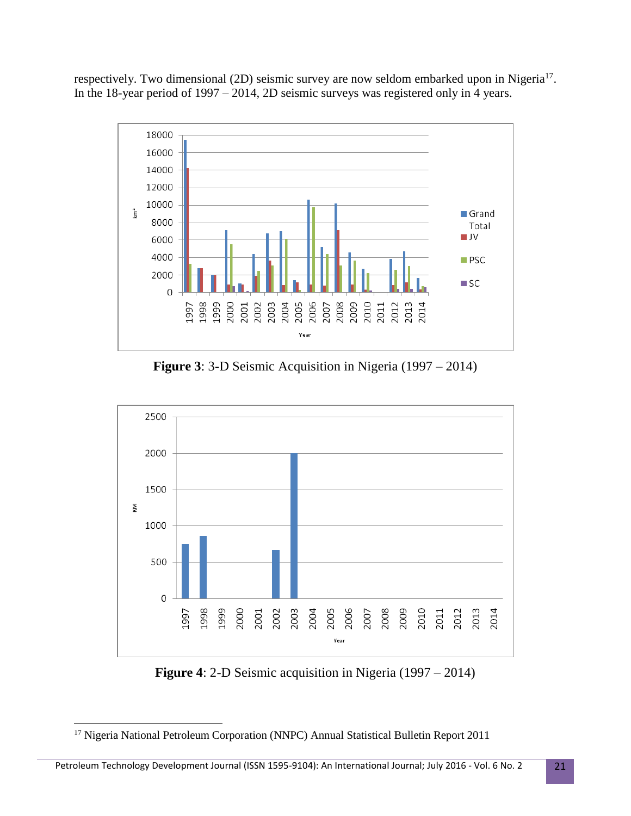respectively. Two dimensional (2D) seismic survey are now seldom embarked upon in Nigeria<sup>17</sup>. In the 18-year period of 1997 – 2014, 2D seismic surveys was registered only in 4 years.



**Figure 3**: 3-D Seismic Acquisition in Nigeria (1997 – 2014)



**Figure 4**: 2-D Seismic acquisition in Nigeria (1997 – 2014)

 $\overline{\phantom{a}}$ 

<sup>&</sup>lt;sup>17</sup> Nigeria National Petroleum Corporation (NNPC) Annual Statistical Bulletin Report 2011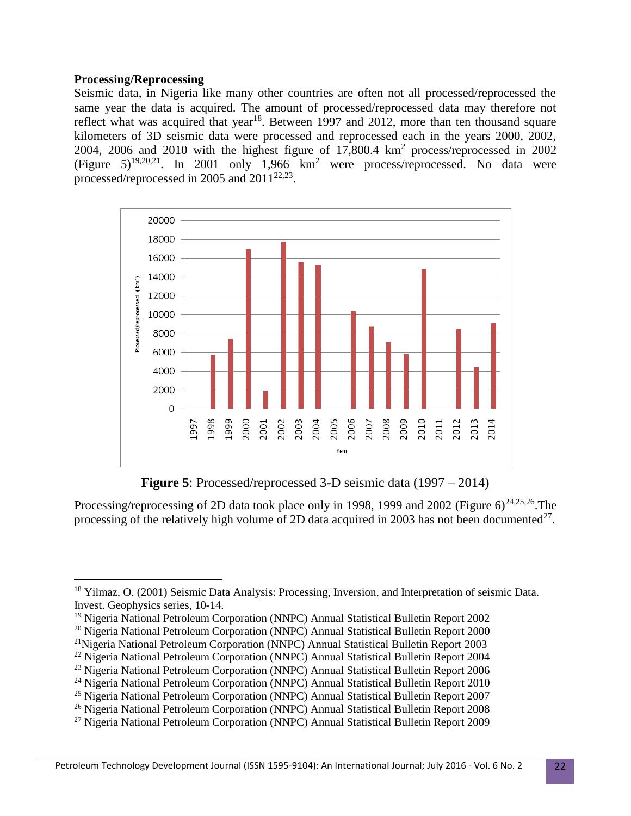### **Processing/Reprocessing**

Seismic data, in Nigeria like many other countries are often not all processed/reprocessed the same year the data is acquired. The amount of processed/reprocessed data may therefore not reflect what was acquired that year<sup>18</sup>. Between 1997 and 2012, more than ten thousand square kilometers of 3D seismic data were processed and reprocessed each in the years 2000, 2002, 2004, 2006 and 2010 with the highest figure of  $17,800.4 \text{ km}^2$  process/reprocessed in 2002 (Figure  $5)^{19,20,21}$ . In 2001 only 1,966 km<sup>2</sup> were process/reprocessed. No data were processed/reprocessed in 2005 and  $2011^{22,23}$ .



**Figure 5**: Processed/reprocessed 3-D seismic data (1997 – 2014)

Processing/reprocessing of 2D data took place only in 1998, 1999 and 2002 (Figure  $6)^{24,25,26}$ . The processing of the relatively high volume of 2D data acquired in 2003 has not been documented $^{27}$ .

l <sup>18</sup> Yilmaz, O. (2001) Seismic Data Analysis: Processing, Inversion, and Interpretation of seismic Data. Invest. Geophysics series, 10-14.

<sup>19</sup> Nigeria National Petroleum Corporation (NNPC) Annual Statistical Bulletin Report 2002

<sup>20</sup> Nigeria National Petroleum Corporation (NNPC) Annual Statistical Bulletin Report 2000

<sup>21</sup>Nigeria National Petroleum Corporation (NNPC) Annual Statistical Bulletin Report 2003

<sup>&</sup>lt;sup>22</sup> Nigeria National Petroleum Corporation (NNPC) Annual Statistical Bulletin Report 2004

<sup>23</sup> Nigeria National Petroleum Corporation (NNPC) Annual Statistical Bulletin Report 2006

<sup>24</sup> Nigeria National Petroleum Corporation (NNPC) Annual Statistical Bulletin Report 2010

<sup>25</sup> Nigeria National Petroleum Corporation (NNPC) Annual Statistical Bulletin Report 2007

<sup>&</sup>lt;sup>26</sup> Nigeria National Petroleum Corporation (NNPC) Annual Statistical Bulletin Report 2008

<sup>27</sup> Nigeria National Petroleum Corporation (NNPC) Annual Statistical Bulletin Report 2009